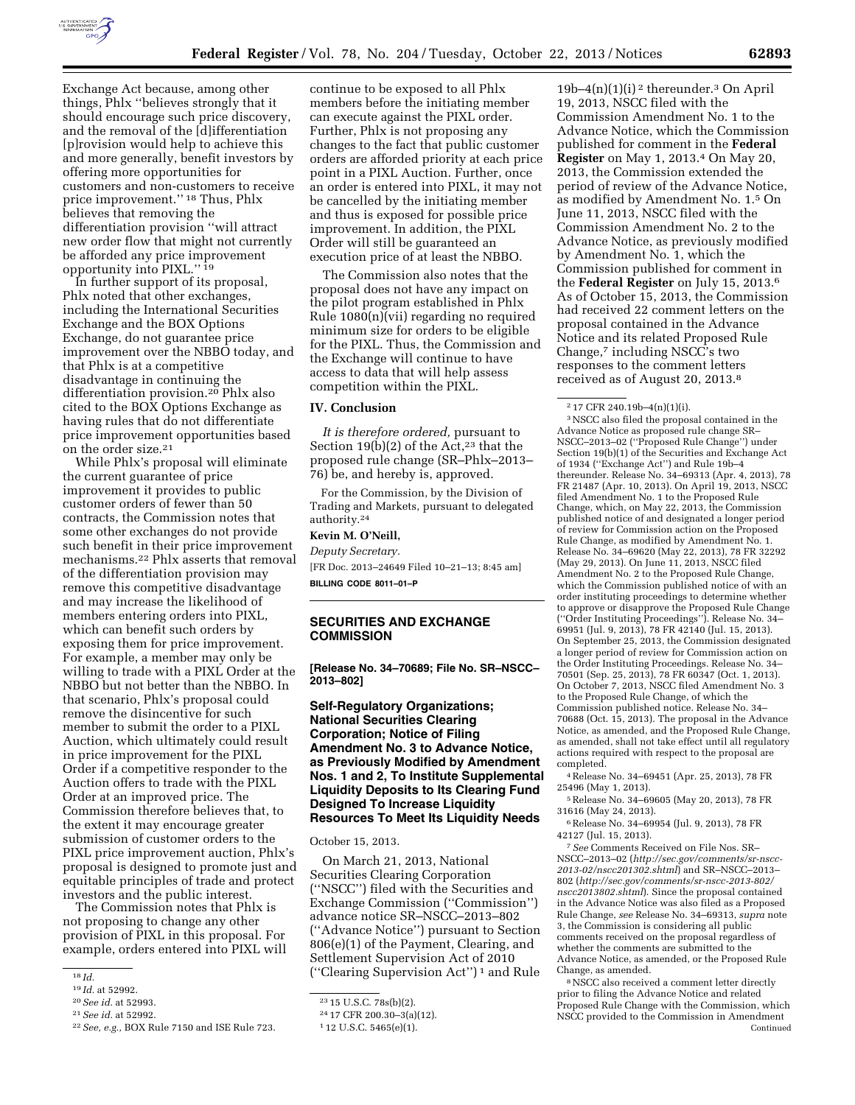

Exchange Act because, among other things, Phlx ''believes strongly that it should encourage such price discovery, and the removal of the [d]ifferentiation [p]rovision would help to achieve this and more generally, benefit investors by offering more opportunities for customers and non-customers to receive price improvement.'' 18 Thus, Phlx believes that removing the differentiation provision ''will attract new order flow that might not currently be afforded any price improvement opportunity into PIXL.'' 19

In further support of its proposal, Phlx noted that other exchanges, including the International Securities Exchange and the BOX Options Exchange, do not guarantee price improvement over the NBBO today, and that Phlx is at a competitive disadvantage in continuing the differentiation provision.20 Phlx also cited to the BOX Options Exchange as having rules that do not differentiate price improvement opportunities based on the order size.21

While Phlx's proposal will eliminate the current guarantee of price improvement it provides to public customer orders of fewer than 50 contracts, the Commission notes that some other exchanges do not provide such benefit in their price improvement mechanisms.22 Phlx asserts that removal of the differentiation provision may remove this competitive disadvantage and may increase the likelihood of members entering orders into PIXL, which can benefit such orders by exposing them for price improvement. For example, a member may only be willing to trade with a PIXL Order at the NBBO but not better than the NBBO. In that scenario, Phlx's proposal could remove the disincentive for such member to submit the order to a PIXL Auction, which ultimately could result in price improvement for the PIXL Order if a competitive responder to the Auction offers to trade with the PIXL Order at an improved price. The Commission therefore believes that, to the extent it may encourage greater submission of customer orders to the PIXL price improvement auction, Phlx's proposal is designed to promote just and equitable principles of trade and protect investors and the public interest.

The Commission notes that Phlx is not proposing to change any other provision of PIXL in this proposal. For example, orders entered into PIXL will

continue to be exposed to all Phlx members before the initiating member can execute against the PIXL order. Further, Phlx is not proposing any changes to the fact that public customer orders are afforded priority at each price point in a PIXL Auction. Further, once an order is entered into PIXL, it may not be cancelled by the initiating member and thus is exposed for possible price improvement. In addition, the PIXL Order will still be guaranteed an execution price of at least the NBBO.

The Commission also notes that the proposal does not have any impact on the pilot program established in Phlx Rule 1080(n)(vii) regarding no required minimum size for orders to be eligible for the PIXL. Thus, the Commission and the Exchange will continue to have access to data that will help assess competition within the PIXL.

#### **IV. Conclusion**

*It is therefore ordered,* pursuant to Section 19(b)(2) of the Act, $23$  that the proposed rule change (SR–Phlx–2013– 76) be, and hereby is, approved.

For the Commission, by the Division of Trading and Markets, pursuant to delegated authority.24

#### **Kevin M. O'Neill,**

*Deputy Secretary.* 

[FR Doc. 2013–24649 Filed 10–21–13; 8:45 am] **BILLING CODE 8011–01–P** 

# **SECURITIES AND EXCHANGE COMMISSION**

**[Release No. 34–70689; File No. SR–NSCC– 2013–802]** 

# **Self-Regulatory Organizations; National Securities Clearing Corporation; Notice of Filing Amendment No. 3 to Advance Notice, as Previously Modified by Amendment Nos. 1 and 2, To Institute Supplemental Liquidity Deposits to Its Clearing Fund Designed To Increase Liquidity Resources To Meet Its Liquidity Needs**

October 15, 2013.

On March 21, 2013, National Securities Clearing Corporation (''NSCC'') filed with the Securities and Exchange Commission (''Commission'') advance notice SR–NSCC–2013–802 (''Advance Notice'') pursuant to Section 806(e)(1) of the Payment, Clearing, and Settlement Supervision Act of 2010 (''Clearing Supervision Act'') 1 and Rule

 $19b-4(n)(1)(i)<sup>2</sup>$  thereunder.<sup>3</sup> On April 19, 2013, NSCC filed with the Commission Amendment No. 1 to the Advance Notice, which the Commission published for comment in the **Federal Register** on May 1, 2013.4 On May 20, 2013, the Commission extended the period of review of the Advance Notice, as modified by Amendment No. 1.5 On June 11, 2013, NSCC filed with the Commission Amendment No. 2 to the Advance Notice, as previously modified by Amendment No. 1, which the Commission published for comment in the **Federal Register** on July 15, 2013.6 As of October 15, 2013, the Commission had received 22 comment letters on the proposal contained in the Advance Notice and its related Proposed Rule Change,7 including NSCC's two responses to the comment letters received as of August 20, 2013.8

3NSCC also filed the proposal contained in the Advance Notice as proposed rule change SR– NSCC–2013–02 (''Proposed Rule Change'') under Section 19(b)(1) of the Securities and Exchange Act of 1934 (''Exchange Act'') and Rule 19b–4 thereunder. Release No. 34–69313 (Apr. 4, 2013), 78 FR 21487 (Apr. 10, 2013). On April 19, 2013, NSCC filed Amendment No. 1 to the Proposed Rule Change, which, on May 22, 2013, the Commission published notice of and designated a longer period of review for Commission action on the Proposed Rule Change, as modified by Amendment No. 1. Release No. 34–69620 (May 22, 2013), 78 FR 32292 (May 29, 2013). On June 11, 2013, NSCC filed Amendment No. 2 to the Proposed Rule Change, which the Commission published notice of with an order instituting proceedings to determine whether to approve or disapprove the Proposed Rule Change (''Order Instituting Proceedings''). Release No. 34– 69951 (Jul. 9, 2013), 78 FR 42140 (Jul. 15, 2013). On September 25, 2013, the Commission designated a longer period of review for Commission action on the Order Instituting Proceedings. Release No. 34– 70501 (Sep. 25, 2013), 78 FR 60347 (Oct. 1, 2013). On October 7, 2013, NSCC filed Amendment No. 3 to the Proposed Rule Change, of which the Commission published notice. Release No. 34– 70688 (Oct. 15, 2013). The proposal in the Advance Notice, as amended, and the Proposed Rule Change, as amended, shall not take effect until all regulatory actions required with respect to the proposal are completed.

4Release No. 34–69451 (Apr. 25, 2013), 78 FR 25496 (May 1, 2013).

5Release No. 34–69605 (May 20, 2013), 78 FR 31616 (May 24, 2013).

6Release No. 34–69954 (Jul. 9, 2013), 78 FR 42127 (Jul. 15, 2013).

7*See* Comments Received on File Nos. SR– NSCC–2013–02 (*[http://sec.gov/comments/sr-nscc-](http://sec.gov/comments/sr-nscc-2013-02/nscc201302.shtml)[2013-02/nscc201302.shtml](http://sec.gov/comments/sr-nscc-2013-02/nscc201302.shtml)*) and SR–NSCC–2013– 802 (*[http://sec.gov/comments/sr-nscc-2013-802/](http://sec.gov/comments/sr-nscc-2013-802/nscc2013802.shtml) [nscc2013802.shtml](http://sec.gov/comments/sr-nscc-2013-802/nscc2013802.shtml)*). Since the proposal contained in the Advance Notice was also filed as a Proposed Rule Change, *see* Release No. 34–69313, *supra* note 3, the Commission is considering all public comments received on the proposal regardless of whether the comments are submitted to the Advance Notice, as amended, or the Proposed Rule Change, as amended.

8NSCC also received a comment letter directly prior to filing the Advance Notice and related Proposed Rule Change with the Commission, which NSCC provided to the Commission in Amendment Continued

<sup>18</sup> *Id.* 

<sup>19</sup> *Id.* at 52992.

<sup>20</sup>*See id.* at 52993.

<sup>21</sup>*See id.* at 52992.

<sup>22</sup>*See, e.g.,* BOX Rule 7150 and ISE Rule 723.

<sup>23</sup> 15 U.S.C. 78s(b)(2).

<sup>24</sup> 17 CFR 200.30–3(a)(12).

<sup>1</sup> 12 U.S.C. 5465(e)(1).

<sup>2</sup> 17 CFR 240.19b–4(n)(1)(i).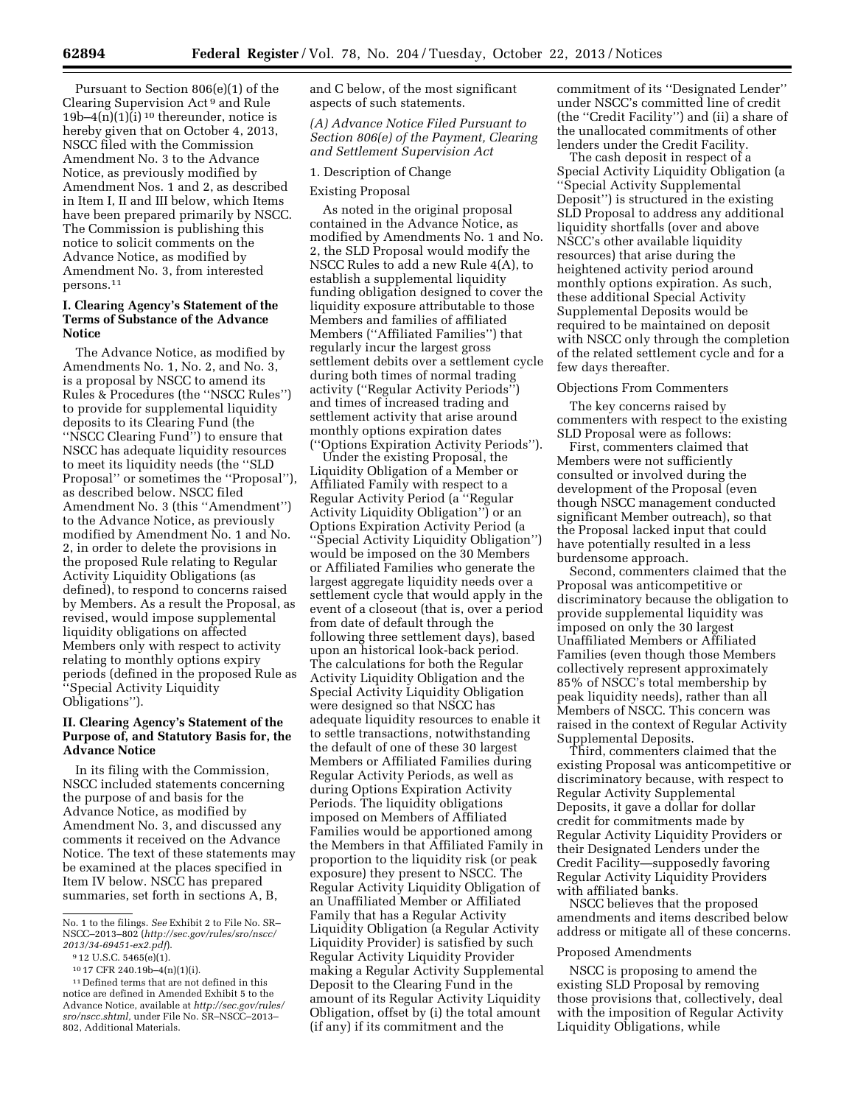Pursuant to Section 806(e)(1) of the Clearing Supervision Act 9 and Rule  $19b-4(n)(1)(i)$ <sup>10</sup> thereunder, notice is hereby given that on October 4, 2013, NSCC filed with the Commission Amendment No. 3 to the Advance Notice, as previously modified by Amendment Nos. 1 and 2, as described in Item I, II and III below, which Items have been prepared primarily by NSCC. The Commission is publishing this notice to solicit comments on the Advance Notice, as modified by Amendment No. 3, from interested persons.11

# **I. Clearing Agency's Statement of the Terms of Substance of the Advance Notice**

The Advance Notice, as modified by Amendments No. 1, No. 2, and No. 3, is a proposal by NSCC to amend its Rules & Procedures (the ''NSCC Rules'') to provide for supplemental liquidity deposits to its Clearing Fund (the ''NSCC Clearing Fund'') to ensure that NSCC has adequate liquidity resources to meet its liquidity needs (the ''SLD Proposal'' or sometimes the ''Proposal''), as described below. NSCC filed Amendment No. 3 (this ''Amendment'') to the Advance Notice, as previously modified by Amendment No. 1 and No. 2, in order to delete the provisions in the proposed Rule relating to Regular Activity Liquidity Obligations (as defined), to respond to concerns raised by Members. As a result the Proposal, as revised, would impose supplemental liquidity obligations on affected Members only with respect to activity relating to monthly options expiry periods (defined in the proposed Rule as ''Special Activity Liquidity Obligations'').

## **II. Clearing Agency's Statement of the Purpose of, and Statutory Basis for, the Advance Notice**

In its filing with the Commission, NSCC included statements concerning the purpose of and basis for the Advance Notice, as modified by Amendment No. 3, and discussed any comments it received on the Advance Notice. The text of these statements may be examined at the places specified in Item IV below. NSCC has prepared summaries, set forth in sections A, B,

and C below, of the most significant aspects of such statements.

*(A) Advance Notice Filed Pursuant to Section 806(e) of the Payment, Clearing and Settlement Supervision Act* 

### 1. Description of Change

## Existing Proposal

As noted in the original proposal contained in the Advance Notice, as modified by Amendments No. 1 and No. 2, the SLD Proposal would modify the NSCC Rules to add a new Rule 4(A), to establish a supplemental liquidity funding obligation designed to cover the liquidity exposure attributable to those Members and families of affiliated Members (''Affiliated Families'') that regularly incur the largest gross settlement debits over a settlement cycle during both times of normal trading activity (''Regular Activity Periods'') and times of increased trading and settlement activity that arise around monthly options expiration dates (''Options Expiration Activity Periods'').

Under the existing Proposal, the Liquidity Obligation of a Member or Affiliated Family with respect to a Regular Activity Period (a ''Regular Activity Liquidity Obligation'') or an Options Expiration Activity Period (a ''Special Activity Liquidity Obligation'') would be imposed on the 30 Members or Affiliated Families who generate the largest aggregate liquidity needs over a settlement cycle that would apply in the event of a closeout (that is, over a period from date of default through the following three settlement days), based upon an historical look-back period. The calculations for both the Regular Activity Liquidity Obligation and the Special Activity Liquidity Obligation were designed so that NSCC has adequate liquidity resources to enable it to settle transactions, notwithstanding the default of one of these 30 largest Members or Affiliated Families during Regular Activity Periods, as well as during Options Expiration Activity Periods. The liquidity obligations imposed on Members of Affiliated Families would be apportioned among the Members in that Affiliated Family in proportion to the liquidity risk (or peak exposure) they present to NSCC. The Regular Activity Liquidity Obligation of an Unaffiliated Member or Affiliated Family that has a Regular Activity Liquidity Obligation (a Regular Activity Liquidity Provider) is satisfied by such Regular Activity Liquidity Provider making a Regular Activity Supplemental Deposit to the Clearing Fund in the amount of its Regular Activity Liquidity Obligation, offset by (i) the total amount (if any) if its commitment and the

commitment of its ''Designated Lender'' under NSCC's committed line of credit (the ''Credit Facility'') and (ii) a share of the unallocated commitments of other lenders under the Credit Facility.

The cash deposit in respect of a Special Activity Liquidity Obligation (a ''Special Activity Supplemental Deposit'') is structured in the existing SLD Proposal to address any additional liquidity shortfalls (over and above NSCC's other available liquidity resources) that arise during the heightened activity period around monthly options expiration. As such, these additional Special Activity Supplemental Deposits would be required to be maintained on deposit with NSCC only through the completion of the related settlement cycle and for a few days thereafter.

### Objections From Commenters

The key concerns raised by commenters with respect to the existing SLD Proposal were as follows:

First, commenters claimed that Members were not sufficiently consulted or involved during the development of the Proposal (even though NSCC management conducted significant Member outreach), so that the Proposal lacked input that could have potentially resulted in a less burdensome approach.

Second, commenters claimed that the Proposal was anticompetitive or discriminatory because the obligation to provide supplemental liquidity was imposed on only the 30 largest Unaffiliated Members or Affiliated Families (even though those Members collectively represent approximately 85% of NSCC's total membership by peak liquidity needs), rather than all Members of NSCC. This concern was raised in the context of Regular Activity Supplemental Deposits.

Third, commenters claimed that the existing Proposal was anticompetitive or discriminatory because, with respect to Regular Activity Supplemental Deposits, it gave a dollar for dollar credit for commitments made by Regular Activity Liquidity Providers or their Designated Lenders under the Credit Facility—supposedly favoring Regular Activity Liquidity Providers with affiliated banks.

NSCC believes that the proposed amendments and items described below address or mitigate all of these concerns.

#### Proposed Amendments

NSCC is proposing to amend the existing SLD Proposal by removing those provisions that, collectively, deal with the imposition of Regular Activity Liquidity Obligations, while

No. 1 to the filings. *See* Exhibit 2 to File No. SR– NSCC–2013–802 (*[http://sec.gov/rules/sro/nscc/](http://sec.gov/rules/sro/nscc/2013/34-69451-ex2.pdf) [2013/34-69451-ex2.pdf](http://sec.gov/rules/sro/nscc/2013/34-69451-ex2.pdf)*).

<sup>9</sup> 12 U.S.C. 5465(e)(1).

<sup>10</sup> 17 CFR 240.19b–4(n)(1)(i).

 $^{\rm 11}\,$  Defined terms that are not defined in this notice are defined in Amended Exhibit 5 to the Advance Notice, available at *[http://sec.gov/rules/](http://sec.gov/rules/sro/nscc.shtml) [sro/nscc.shtml,](http://sec.gov/rules/sro/nscc.shtml)* under File No. SR–NSCC–2013– 802, Additional Materials.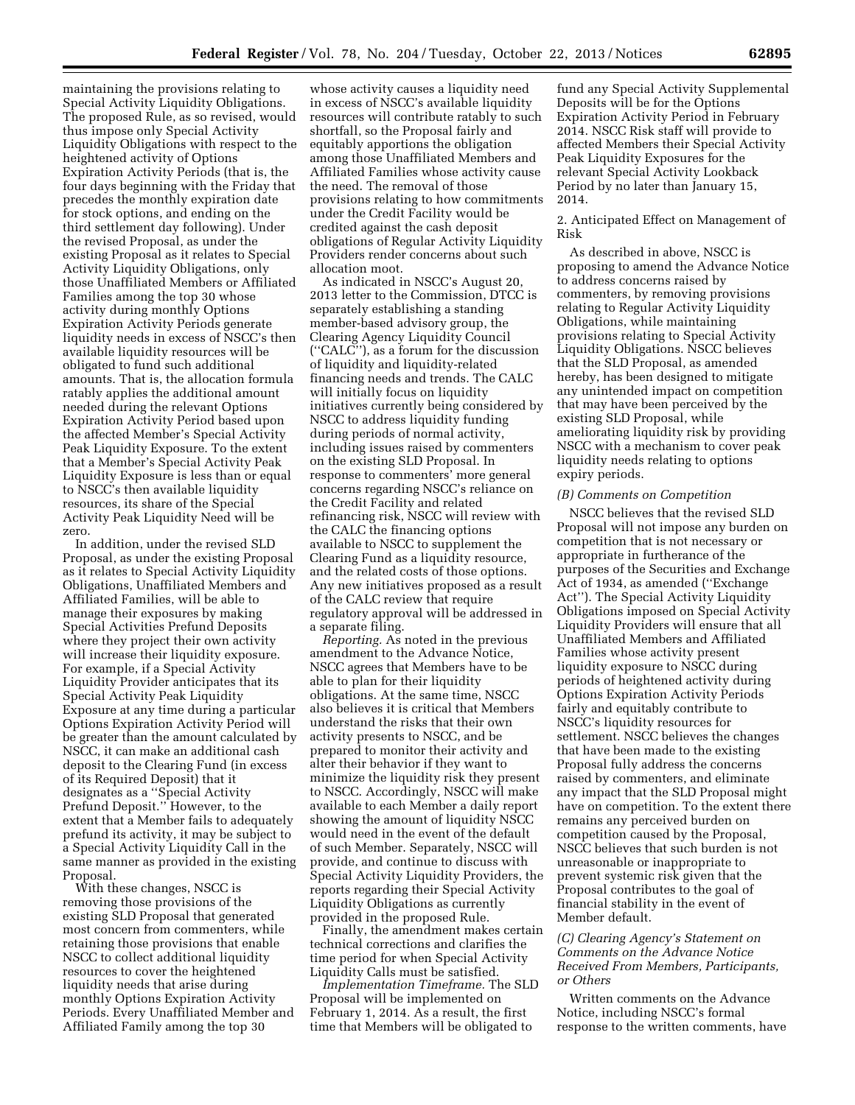maintaining the provisions relating to Special Activity Liquidity Obligations. The proposed Rule, as so revised, would thus impose only Special Activity Liquidity Obligations with respect to the heightened activity of Options Expiration Activity Periods (that is, the four days beginning with the Friday that precedes the monthly expiration date for stock options, and ending on the third settlement day following). Under the revised Proposal, as under the existing Proposal as it relates to Special Activity Liquidity Obligations, only those Unaffiliated Members or Affiliated Families among the top 30 whose activity during monthly Options Expiration Activity Periods generate liquidity needs in excess of NSCC's then available liquidity resources will be obligated to fund such additional amounts. That is, the allocation formula ratably applies the additional amount needed during the relevant Options Expiration Activity Period based upon the affected Member's Special Activity Peak Liquidity Exposure. To the extent that a Member's Special Activity Peak Liquidity Exposure is less than or equal to NSCC's then available liquidity resources, its share of the Special Activity Peak Liquidity Need will be zero.

In addition, under the revised SLD Proposal, as under the existing Proposal as it relates to Special Activity Liquidity Obligations, Unaffiliated Members and Affiliated Families, will be able to manage their exposures by making Special Activities Prefund Deposits where they project their own activity will increase their liquidity exposure. For example, if a Special Activity Liquidity Provider anticipates that its Special Activity Peak Liquidity Exposure at any time during a particular Options Expiration Activity Period will be greater than the amount calculated by NSCC, it can make an additional cash deposit to the Clearing Fund (in excess of its Required Deposit) that it designates as a ''Special Activity Prefund Deposit.'' However, to the extent that a Member fails to adequately prefund its activity, it may be subject to a Special Activity Liquidity Call in the same manner as provided in the existing Proposal.

With these changes, NSCC is removing those provisions of the existing SLD Proposal that generated most concern from commenters, while retaining those provisions that enable NSCC to collect additional liquidity resources to cover the heightened liquidity needs that arise during monthly Options Expiration Activity Periods. Every Unaffiliated Member and Affiliated Family among the top 30

whose activity causes a liquidity need in excess of NSCC's available liquidity resources will contribute ratably to such shortfall, so the Proposal fairly and equitably apportions the obligation among those Unaffiliated Members and Affiliated Families whose activity cause the need. The removal of those provisions relating to how commitments under the Credit Facility would be credited against the cash deposit obligations of Regular Activity Liquidity Providers render concerns about such allocation moot.

As indicated in NSCC's August 20, 2013 letter to the Commission, DTCC is separately establishing a standing member-based advisory group, the Clearing Agency Liquidity Council (''CALC''), as a forum for the discussion of liquidity and liquidity-related financing needs and trends. The CALC will initially focus on liquidity initiatives currently being considered by NSCC to address liquidity funding during periods of normal activity, including issues raised by commenters on the existing SLD Proposal. In response to commenters' more general concerns regarding NSCC's reliance on the Credit Facility and related refinancing risk, NSCC will review with the CALC the financing options available to NSCC to supplement the Clearing Fund as a liquidity resource, and the related costs of those options. Any new initiatives proposed as a result of the CALC review that require regulatory approval will be addressed in a separate filing.

*Reporting.* As noted in the previous amendment to the Advance Notice, NSCC agrees that Members have to be able to plan for their liquidity obligations. At the same time, NSCC also believes it is critical that Members understand the risks that their own activity presents to NSCC, and be prepared to monitor their activity and alter their behavior if they want to minimize the liquidity risk they present to NSCC. Accordingly, NSCC will make available to each Member a daily report showing the amount of liquidity NSCC would need in the event of the default of such Member. Separately, NSCC will provide, and continue to discuss with Special Activity Liquidity Providers, the reports regarding their Special Activity Liquidity Obligations as currently provided in the proposed Rule.

Finally, the amendment makes certain technical corrections and clarifies the time period for when Special Activity Liquidity Calls must be satisfied.

*Implementation Timeframe.* The SLD Proposal will be implemented on February 1, 2014. As a result, the first time that Members will be obligated to

fund any Special Activity Supplemental Deposits will be for the Options Expiration Activity Period in February 2014. NSCC Risk staff will provide to affected Members their Special Activity Peak Liquidity Exposures for the relevant Special Activity Lookback Period by no later than January 15, 2014.

### 2. Anticipated Effect on Management of Risk

As described in above, NSCC is proposing to amend the Advance Notice to address concerns raised by commenters, by removing provisions relating to Regular Activity Liquidity Obligations, while maintaining provisions relating to Special Activity Liquidity Obligations. NSCC believes that the SLD Proposal, as amended hereby, has been designed to mitigate any unintended impact on competition that may have been perceived by the existing SLD Proposal, while ameliorating liquidity risk by providing NSCC with a mechanism to cover peak liquidity needs relating to options expiry periods.

#### *(B) Comments on Competition*

NSCC believes that the revised SLD Proposal will not impose any burden on competition that is not necessary or appropriate in furtherance of the purposes of the Securities and Exchange Act of 1934, as amended (''Exchange Act''). The Special Activity Liquidity Obligations imposed on Special Activity Liquidity Providers will ensure that all Unaffiliated Members and Affiliated Families whose activity present liquidity exposure to NSCC during periods of heightened activity during Options Expiration Activity Periods fairly and equitably contribute to NSCC's liquidity resources for settlement. NSCC believes the changes that have been made to the existing Proposal fully address the concerns raised by commenters, and eliminate any impact that the SLD Proposal might have on competition. To the extent there remains any perceived burden on competition caused by the Proposal, NSCC believes that such burden is not unreasonable or inappropriate to prevent systemic risk given that the Proposal contributes to the goal of financial stability in the event of Member default.

## *(C) Clearing Agency's Statement on Comments on the Advance Notice Received From Members, Participants, or Others*

Written comments on the Advance Notice, including NSCC's formal response to the written comments, have